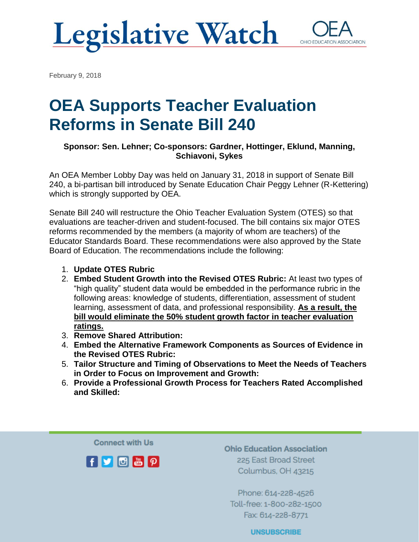# **Legislative Watch**



February 9, 2018

# OEA Supports Teacher Evaluation Reforms in Senate Bill 240

#### **Sponsor: Sen. Lehner; Co-sponsors: Gardner, Hottinger, Eklund, Manning, Schiavoni, Sykes**

An OEA Member Lobby Day was held on January 31, 2018 in support of Senate Bill 240, a bi-partisan bill introduced by Senate Education Chair Peggy Lehner (R-Kettering) which is strongly supported by OEA.

Senate Bill 240 will restructure the Ohio Teacher Evaluation System (OTES) so that evaluations are teacher-driven and student-focused. The bill contains six major OTES reforms recommended by the members (a majority of whom are teachers) of the Educator Standards Board. These recommendations were also approved by the State Board of Education. The recommendations include the following:

- 1. **Update OTES Rubric**
- 2. **Embed Student Growth into the Revised OTES Rubric:** At least two types of "high quality" student data would be embedded in the performance rubric in the following areas: knowledge of students, differentiation, assessment of student learning, assessment of data, and professional responsibility. **As a result, the bill would eliminate the 50% student growth factor in teacher evaluation ratings.**
- 3. **Remove Shared Attribution:**
- 4. **Embed the Alternative Framework Components as Sources of Evidence in the Revised OTES Rubric:**
- 5. **Tailor Structure and Timing of Observations to Meet the Needs of Teachers in Order to Focus on Improvement and Growth:**
- 6. **Provide a Professional Growth Process for Teachers Rated Accomplished and Skilled:**

**Connect with Us** 



**Ohio Education Association** 225 East Broad Street Columbus, OH 43215

Phone: 614-228-4526 Toll-free: 1-800-282-1500 Fax: 614-228-8771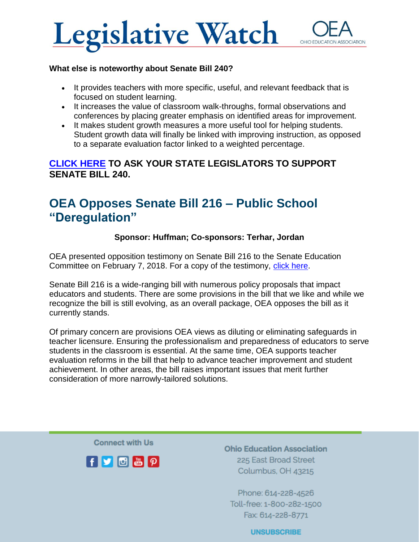

#### **What else is noteworthy about Senate Bill 240?**

- It provides teachers with more specific, useful, and relevant feedback that is focused on student learning.
- It increases the value of classroom walk-throughs, formal observations and conferences by placing greater emphasis on identified areas for improvement.
- It makes student growth measures a more useful tool for helping students. Student growth data will finally be linked with improving instruction, as opposed to a separate evaluation factor linked to a weighted percentage.

#### **[CLICK HERE](https://actionnetwork.org/letters/ask-your-state-senator-to-support-teacher-evaluation-reforms-in-sb-240) TO ASK YOUR STATE LEGISLATORS TO SUPPORT SENATE BILL 240.**

### OEA Opposes Senate Bill 216 – Public School "Deregulation"

#### **Sponsor: Huffman; Co-sponsors: Terhar, Jordan**

OEA presented opposition testimony on Senate Bill 216 to the Senate Education Committee on February 7, 2018. For a copy of the testimony, [click here.](https://www.ohea.org/cms/assets/uploads/2018/02/SB-216-OEA-Opponent-Testimony-Feb-7-2018.pdf)

Senate Bill 216 is a wide-ranging bill with numerous policy proposals that impact educators and students. There are some provisions in the bill that we like and while we recognize the bill is still evolving, as an overall package, OEA opposes the bill as it currently stands.

Of primary concern are provisions OEA views as diluting or eliminating safeguards in teacher licensure. Ensuring the professionalism and preparedness of educators to serve students in the classroom is essential. At the same time, OEA supports teacher evaluation reforms in the bill that help to advance teacher improvement and student achievement. In other areas, the bill raises important issues that merit further consideration of more narrowly-tailored solutions.

**Connect with Us** 



**Ohio Education Association** 225 East Broad Street Columbus, OH 43215

Phone: 614-228-4526 Toll-free: 1-800-282-1500 Fax: 614-228-8771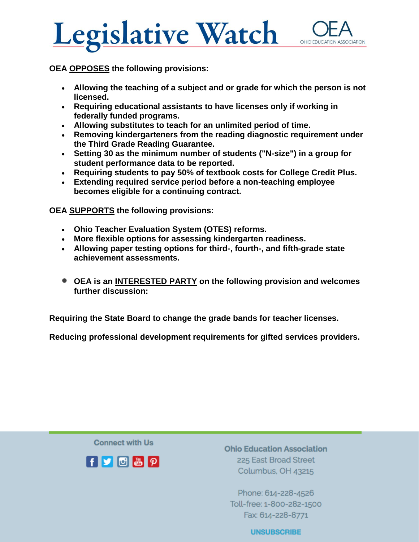



**OEA OPPOSES the following provisions:**

- **Allowing the teaching of a subject and or grade for which the person is not licensed.**
- **Requiring educational assistants to have licenses only if working in federally funded programs.**
- **Allowing substitutes to teach for an unlimited period of time.**
- **Removing kindergarteners from the reading diagnostic requirement under the Third Grade Reading Guarantee.**
- **Setting 30 as the minimum number of students ("N-size") in a group for student performance data to be reported.**
- **Requiring students to pay 50% of textbook costs for College Credit Plus.**
- **Extending required service period before a non-teaching employee becomes eligible for a continuing contract.**

**OEA SUPPORTS the following provisions:**

- **Ohio Teacher Evaluation System (OTES) reforms.**
- **More flexible options for assessing kindergarten readiness.**
- **Allowing paper testing options for third-, fourth-, and fifth-grade state achievement assessments.**
- **OEA is an INTERESTED PARTY on the following provision and welcomes further discussion:**

**Requiring the State Board to change the grade bands for teacher licenses.**

**Reducing professional development requirements for gifted services providers.**

**Connect with Us** 



**Ohio Education Association** 225 East Broad Street Columbus, OH 43215

Phone: 614-228-4526 Toll-free: 1-800-282-1500 Fax: 614-228-8771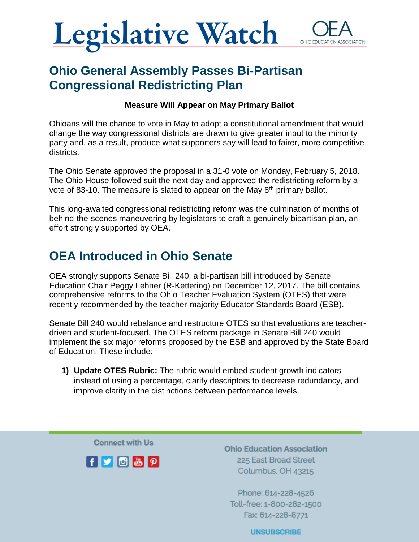

## Ohio General Assembly Passes Bi-Partisan Congressional Redistricting Plan

#### **Measure Will Appear on May Primary Ballot**

Ohioans will the chance to vote in May to adopt a constitutional amendment that would change the way congressional districts are drawn to give greater input to the minority party and, as a result, produce what supporters say will lead to fairer, more competitive districts.

The Ohio Senate approved the proposal in a 31-0 vote on Monday, February 5, 2018. The Ohio House followed suit the next day and approved the redistricting reform by a vote of 83-10. The measure is slated to appear on the May 8<sup>th</sup> primary ballot.

This long-awaited congressional redistricting reform was the culmination of months of behind-the-scenes maneuvering by legislators to craft a genuinely bipartisan plan, an effort strongly supported by OEA.

## OEA Introduced in Ohio Senate

OEA strongly supports Senate Bill 240, a bi-partisan bill introduced by Senate Education Chair Peggy Lehner (R-Kettering) on December 12, 2017. The bill contains comprehensive reforms to the Ohio Teacher Evaluation System (OTES) that were recently recommended by the teacher-majority Educator Standards Board (ESB).

Senate Bill 240 would rebalance and restructure OTES so that evaluations are teacherdriven and student-focused. The OTES reform package in Senate Bill 240 would implement the six major reforms proposed by the ESB and approved by the State Board of Education. These include:

**1) Update OTES Rubric:** The rubric would embed student growth indicators instead of using a percentage, clarify descriptors to decrease redundancy, and improve clarity in the distinctions between performance levels.

**Connect with Us** 



**Ohio Education Association** 225 East Broad Street Columbus, OH 43215

Phone: 614-228-4526 Toll-free: 1-800-282-1500 Fax: 614-228-8771